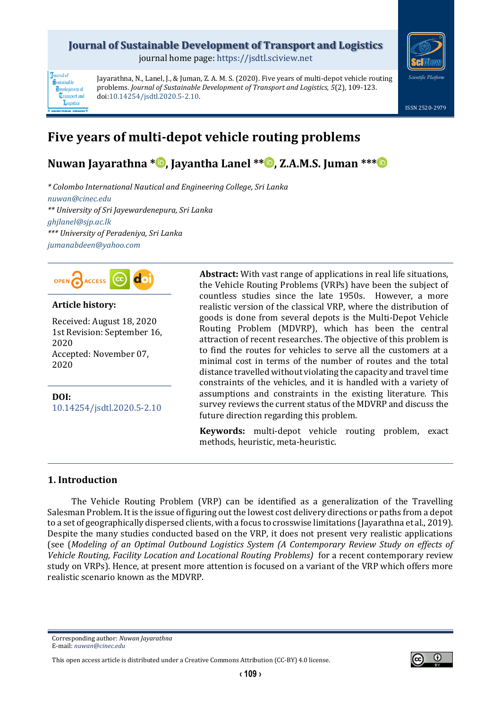# **Journal of Sustainable Development of Transport and Logistics**

journal home page: [https://jsdtl.sciview.net](https://jsdtl.sciview.net/)



**Tournal** of Sustainable **D**evelopment of **Transport** and Logistics

Jayarathna, N., Lanel, J., & Juman, Z. A. M. S. (2020). Five years of multi-depot vehicle routing problems. *Journal of Sustainable Development of Transport and Logistics, 5*(2), 109-123. doi[:10.14254/jsdtl.2020.5-2.10.](https://doi.org/10.14254/jsdtl.2020.5-2.10)

ISSN 2520-2979

# **Five years of multi-depot vehicle routing problems**

# **Nuwan Jayarathna [\\*](https://orcid.org/0000-0002-5395-7813) , Jayantha Lanel \*\* [,](https://orcid.org/0000-0001-5991-6548) Z.A.M.S. Juman \*\*[\\*](https://orcid.org/0000-0003-4116-9809)**

*\* Colombo International Nautical and Engineering College, Sri Lanka [nuwan@cinec.edu](mailto:nuwan@cinec.edu) \*\* University of Sri Jayewardenepura, Sri Lanka [ghjlanel@sjp.ac.lk](mailto:ghjlanel@sjp.ac.lk) \*\*\* University of Peradeniya, Sri Lanka [jumanabdeen@yahoo.com](mailto:jumanabdeen@yahoo.com)*



## **Article history:**

Received: August 18, 2020 1st Revision: September 16, 2020 Accepted: November 07, 2020

**DOI:** [10.14254/jsdtl.2020.5-2.1](https://doi.org/10.14254/jsdtl.2020.5-2.10)0 **Abstract:** With vast range of applications in real life situations, the Vehicle Routing Problems (VRPs) have been the subject of countless studies since the late 1950s. However, a more realistic version of the classical VRP, where the distribution of goods is done from several depots is the Multi-Depot Vehicle Routing Problem (MDVRP), which has been the central attraction of recent researches. The objective of this problem is to find the routes for vehicles to serve all the customers at a minimal cost in terms of the number of routes and the total distance travelled without violating the capacity and travel time constraints of the vehicles, and it is handled with a variety of assumptions and constraints in the existing literature. This survey reviews the current status of the MDVRP and discuss the future direction regarding this problem.

**Keywords:** multi-depot vehicle routing problem, exact methods, heuristic, meta-heuristic.

### **1. Introduction**

The Vehicle Routing Problem (VRP) can be identified as a generalization of the Travelling Salesman Problem. It is the issue of figuring out the lowest cost delivery directions or paths from a depot to a set of geographically dispersed clients, with a focus to crosswise limitations (Jayarathna et al., 2019). Despite the many studies conducted based on the VRP, it does not present very realistic applications (see (*Modeling of an Optimal Outbound Logistics System (A Contemporary Review Study on effects of Vehicle Routing, Facility Location and Locational Routing Problems)* for a recent contemporary review study on VRPs). Hence, at present more attention is focused on a variant of the VRP which offers more realistic scenario known as the MDVRP.

Corresponding author: *Nuwan Jayarathna* E-mail: *[nuwan@cinec.edu](mailto:nuwan@cinec.edu)*

This open access article is distributed under [a Creative Commons Attribution \(CC-BY\) 4.0 license.](http://creativecommons.org/licenses/by/4.0/)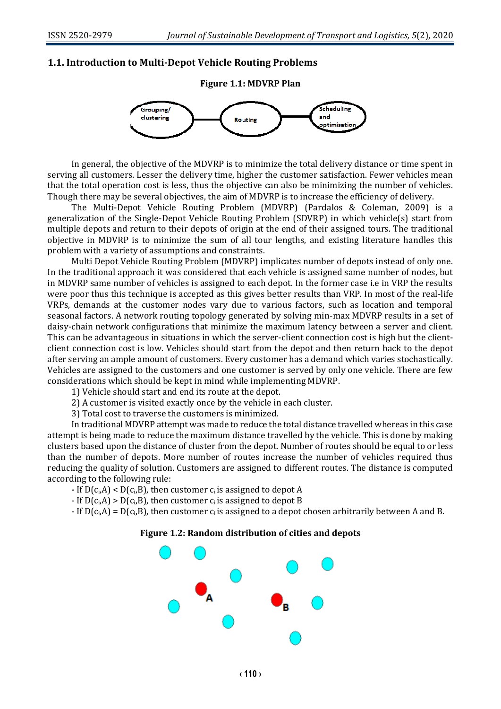#### **1.1. Introduction to Multi-Depot Vehicle Routing Problems**



In general, the objective of the MDVRP is to minimize the total delivery distance or time spent in serving all customers. Lesser the delivery time, higher the customer satisfaction. Fewer vehicles mean that the total operation cost is less, thus the objective can also be minimizing the number of vehicles. Though there may be several objectives, the aim of MDVRP is to increase the efficiency of delivery.

The Multi-Depot Vehicle Routing Problem (MDVRP) (Pardalos & Coleman, 2009) is a generalization of the Single-Depot Vehicle Routing Problem (SDVRP) in which vehicle(s) start from multiple depots and return to their depots of origin at the end of their assigned tours. The traditional objective in MDVRP is to minimize the sum of all tour lengths, and existing literature handles this problem with a variety of assumptions and constraints.

Multi Depot Vehicle Routing Problem (MDVRP) implicates number of depots instead of only one. In the traditional approach it was considered that each vehicle is assigned same number of nodes, but in MDVRP same number of vehicles is assigned to each depot. In the former case i.e in VRP the results were poor thus this technique is accepted as this gives better results than VRP. In most of the real-life VRPs, demands at the customer nodes vary due to various factors, such as location and temporal seasonal factors. A network routing topology generated by solving min-max MDVRP results in a set of daisy-chain network configurations that minimize the maximum latency between a server and client. This can be advantageous in situations in which the server-client connection cost is high but the clientclient connection cost is low. Vehicles should start from the depot and then return back to the depot after serving an ample amount of customers. Every customer has a demand which varies stochastically. Vehicles are assigned to the customers and one customer is served by only one vehicle. There are few considerations which should be kept in mind while implementing MDVRP.

1) Vehicle should start and end its route at the depot.

2) A customer is visited exactly once by the vehicle in each cluster.

3) Total cost to traverse the customers is minimized.

In traditional MDVRP attempt was made to reduce the total distance travelled whereas in this case attempt is being made to reduce the maximum distance travelled by the vehicle. This is done by making clusters based upon the distance of cluster from the depot. Number of routes should be equal to or less than the number of depots. More number of routes increase the number of vehicles required thus reducing the quality of solution. Customers are assigned to different routes. The distance is computed according to the following rule:

**-** If D(ci,A) < D(ci,B), then customer ci is assigned to depot A

- If  $D(c_i, A)$  >  $D(c_i, B)$ , then customer  $c_i$  is assigned to depot B

- If  $D(c_i, A) = D(c_i, B)$ , then customer c<sub>i</sub> is assigned to a depot chosen arbitrarily between A and B.

#### **Figure 1.2: Random distribution of cities and depots**

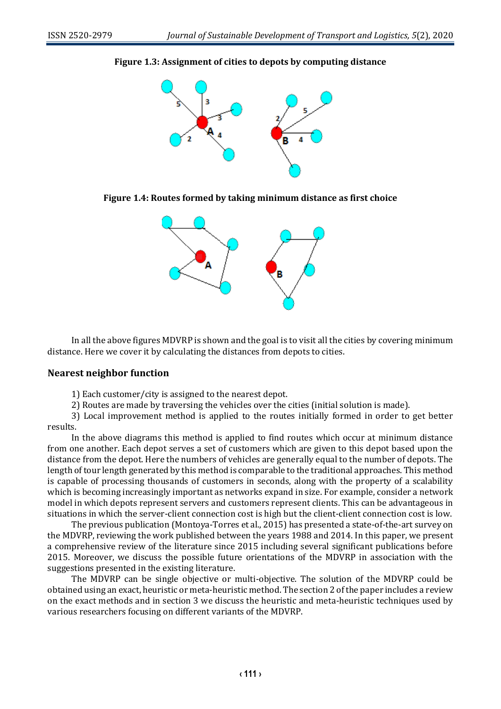

## **Figure 1.3: Assignment of cities to depots by computing distance**

**Figure 1.4: Routes formed by taking minimum distance as first choice**



In all the above figures MDVRP is shown and the goal is to visit all the cities by covering minimum distance. Here we cover it by calculating the distances from depots to cities.

### **Nearest neighbor function**

1) Each customer/city is assigned to the nearest depot.

2) Routes are made by traversing the vehicles over the cities (initial solution is made).

3) Local improvement method is applied to the routes initially formed in order to get better results.

In the above diagrams this method is applied to find routes which occur at minimum distance from one another. Each depot serves a set of customers which are given to this depot based upon the distance from the depot. Here the numbers of vehicles are generally equal to the number of depots. The length of tour length generated by this method is comparable to the traditional approaches. This method is capable of processing thousands of customers in seconds, along with the property of a scalability which is becoming increasingly important as networks expand in size. For example, consider a network model in which depots represent servers and customers represent clients. This can be advantageous in situations in which the server-client connection cost is high but the client-client connection cost is low.

The previous publication (Montoya-Torres et al., 2015) has presented a state-of-the-art survey on the MDVRP, reviewing the work published between the years 1988 and 2014. In this paper, we present a comprehensive review of the literature since 2015 including several significant publications before 2015. Moreover, we discuss the possible future orientations of the MDVRP in association with the suggestions presented in the existing literature.

The MDVRP can be single objective or multi-objective. The solution of the MDVRP could be obtained using an exact, heuristic or meta-heuristic method. The section 2 of the paper includes a review on the exact methods and in section 3 we discuss the heuristic and meta-heuristic techniques used by various researchers focusing on different variants of the MDVRP.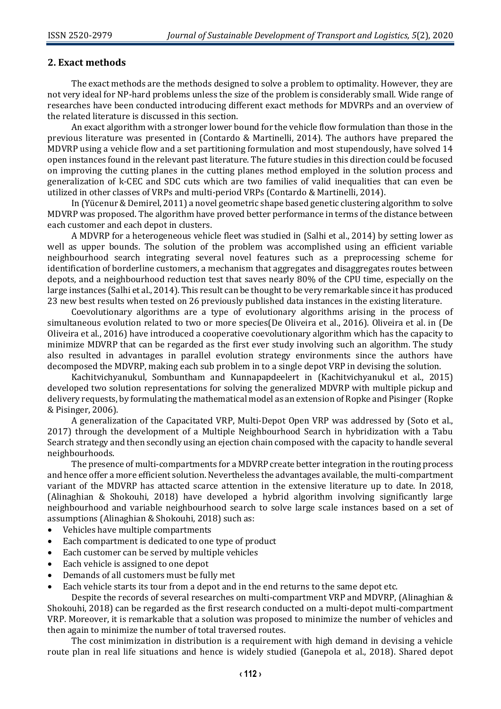### **2. Exact methods**

The exact methods are the methods designed to solve a problem to optimality. However, they are not very ideal for NP-hard problems unless the size of the problem is considerably small. Wide range of researches have been conducted introducing different exact methods for MDVRPs and an overview of the related literature is discussed in this section.

An exact algorithm with a stronger lower bound for the vehicle flow formulation than those in the previous literature was presented in (Contardo & Martinelli, 2014). The authors have prepared the MDVRP using a vehicle flow and a set partitioning formulation and most stupendously, have solved 14 open instances found in the relevant past literature. The future studies in this direction could be focused on improving the cutting planes in the cutting planes method employed in the solution process and generalization of k-CEC and SDC cuts which are two families of valid inequalities that can even be utilized in other classes of VRPs and multi-period VRPs (Contardo & Martinelli, 2014).

In (Yücenur & Demirel, 2011) a novel geometric shape based genetic clustering algorithm to solve MDVRP was proposed. The algorithm have proved better performance in terms of the distance between each customer and each depot in clusters.

A MDVRP for a heterogeneous vehicle fleet was studied in (Salhi et al., 2014) by setting lower as well as upper bounds. The solution of the problem was accomplished using an efficient variable neighbourhood search integrating several novel features such as a preprocessing scheme for identification of borderline customers, a mechanism that aggregates and disaggregates routes between depots, and a neighbourhood reduction test that saves nearly 80% of the CPU time, especially on the large instances (Salhi et al., 2014). This result can be thought to be very remarkable since it has produced 23 new best results when tested on 26 previously published data instances in the existing literature.

Coevolutionary algorithms are a type of evolutionary algorithms arising in the process of simultaneous evolution related to two or more species(De Oliveira et al., 2016). Oliveira et al. in (De Oliveira et al., 2016) have introduced a cooperative coevolutionary algorithm which has the capacity to minimize MDVRP that can be regarded as the first ever study involving such an algorithm. The study also resulted in advantages in parallel evolution strategy environments since the authors have decomposed the MDVRP, making each sub problem in to a single depot VRP in devising the solution.

Kachitvichyanukul, Sombuntham and Kunnapapdeelert in (Kachitvichyanukul et al., 2015) developed two solution representations for solving the generalized MDVRP with multiple pickup and delivery requests, by formulating the mathematical model as an extension of Ropke and Pisinger (Ropke & Pisinger, 2006).

A generalization of the Capacitated VRP, Multi-Depot Open VRP was addressed by (Soto et al., 2017) through the development of a Multiple Neighbourhood Search in hybridization with a Tabu Search strategy and then secondly using an ejection chain composed with the capacity to handle several neighbourhoods.

The presence of multi-compartments for a MDVRP create better integration in the routing process and hence offer a more efficient solution. Nevertheless the advantages available, the multi-compartment variant of the MDVRP has attacted scarce attention in the extensive literature up to date. In 2018, (Alinaghian & Shokouhi, 2018) have developed a hybrid algorithm involving significantly large neighbourhood and variable neighbourhood search to solve large scale instances based on a set of assumptions (Alinaghian & Shokouhi, 2018) such as:

- Vehicles have multiple compartments
- Each compartment is dedicated to one type of product
- Each customer can be served by multiple vehicles
- Each vehicle is assigned to one depot
- Demands of all customers must be fully met
- Each vehicle starts its tour from a depot and in the end returns to the same depot etc.

Despite the records of several researches on multi-compartment VRP and MDVRP, (Alinaghian & Shokouhi, 2018) can be regarded as the first research conducted on a multi-depot multi-compartment VRP. Moreover, it is remarkable that a solution was proposed to minimize the number of vehicles and then again to minimize the number of total traversed routes.

The cost minimization in distribution is a requirement with high demand in devising a vehicle route plan in real life situations and hence is widely studied (Ganepola et al., 2018). Shared depot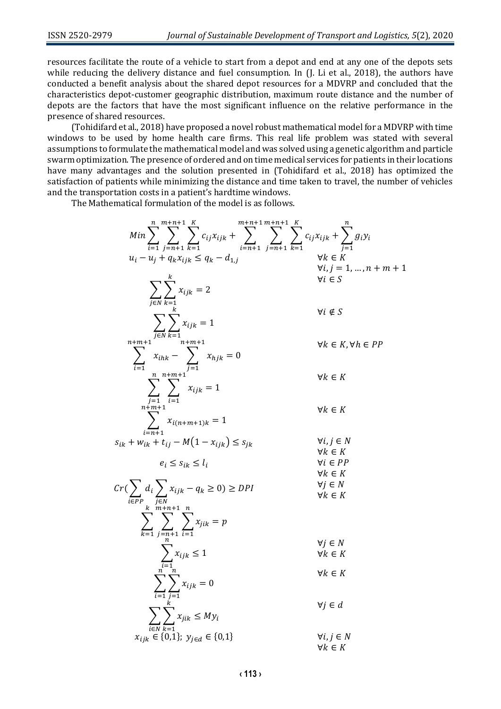resources facilitate the route of a vehicle to start from a depot and end at any one of the depots sets while reducing the delivery distance and fuel consumption. In (J. Li et al., 2018), the authors have conducted a benefit analysis about the shared depot resources for a MDVRP and concluded that the characteristics depot-customer geographic distribution, maximum route distance and the number of depots are the factors that have the most significant influence on the relative performance in the presence of shared resources.

(Tohidifard et al., 2018) have proposed a novel robust mathematical model for a MDVRP with time windows to be used by home health care firms. This real life problem was stated with several assumptions to formulate the mathematical model and was solved using a genetic algorithm and particle swarm optimization. The presence of ordered and on time medical services for patients in their locations have many advantages and the solution presented in (Tohidifard et al., 2018) has optimized the satisfaction of patients while minimizing the distance and time taken to travel, the number of vehicles and the transportation costs in a patient's hardtime windows.

The Mathematical formulation of the model is as follows.

$$
Min \sum_{i=1}^{n} \sum_{j=n+1}^{m+n+1} \sum_{k=1}^{K} c_{ij}x_{ijk} + \sum_{i=n+1}^{m+n+1} \sum_{j=n+1}^{m+n+1} \sum_{k=1}^{K} c_{ij}x_{ijk} + \sum_{j=1}^{n} g_{i}y_{i}
$$
\n
$$
u_{i} - u_{j} + q_{k}x_{ijk} \leq q_{k} - d_{1,j} \qquad \forall k \in K
$$
\n
$$
\sum_{j \in N} \sum_{k=1}^{k} x_{ijk} = 2 \qquad \forall i \notin S
$$
\n
$$
\sum_{i=1}^{m+m+1} \sum_{j=1}^{m+m+1} x_{hjk} = 0 \qquad \forall k \in K, \forall h \in PP
$$
\n
$$
\sum_{i=1}^{n+m+1} \sum_{i=1}^{n+m+1} x_{hjk} = 0 \qquad \forall k \in K
$$
\n
$$
\sum_{i=n+1}^{m+m+1} \sum_{j=1}^{m+m+1} x_{i(n+m+1)k} = 1 \qquad \forall k \in K
$$
\n
$$
e_{i} \leq s_{ik} \leq l_{i} \qquad \forall i, j \in N
$$
\n
$$
Cr(\sum_{i \in PP} d_{i} \sum_{j \in N} x_{ijk} - q_{k} \geq 0) \geq DPI \qquad \forall i \in F
$$
\n
$$
Cr(\sum_{k=1}^{m+m+1} \sum_{j=n+1}^{n} x_{ijk} = q_{k} \qquad \forall i \in K
$$
\n
$$
r \geq \sum_{k=1}^{m+m+1} \sum_{j=n+1}^{n} x_{ijk} \leq 1 \qquad \forall j \in N
$$
\n
$$
\sum_{i=1}^{m} x_{ijk} \leq 1 \qquad \forall j \in N
$$
\n
$$
\sum_{i \in N} \sum_{k=1}^{n} x_{ijk} = 0 \qquad \forall k \in K
$$
\n
$$
\sum_{i \in N} \sum_{k=1}^{n} x_{ijk} \leq My_{i}
$$
\n
$$
x_{ijk} \in \{0,1\} \qquad \forall j \in d
$$
\n
$$
x_{ijk} \in \{0,1\} \qquad \forall j \in N
$$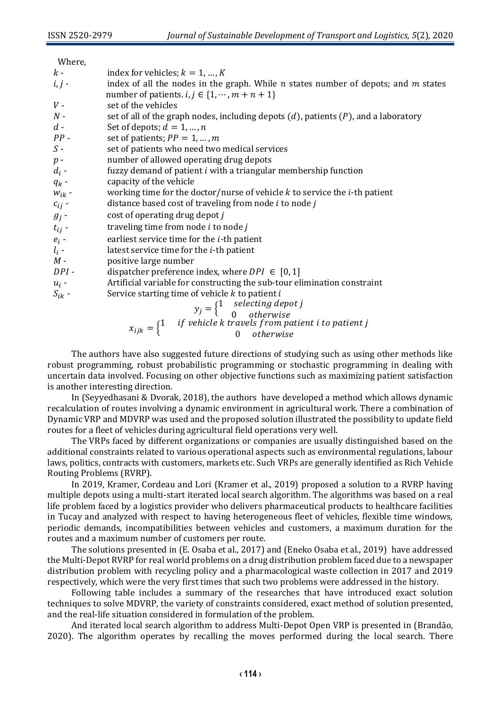| ,,,,,,,,,  |                                                                                                                                                 |
|------------|-------------------------------------------------------------------------------------------------------------------------------------------------|
| $k-$       | index for vehicles; $k = 1, , K$                                                                                                                |
| $i, j$ -   | index of all the nodes in the graph. While $n$ states number of depots; and $m$ states                                                          |
|            | number of patients. $i, j \in \{1, \cdots, m + n + 1\}$                                                                                         |
| $V$ -      | set of the vehicles                                                                                                                             |
| $N$ -      | set of all of the graph nodes, including depots $(d)$ , patients $(P)$ , and a laboratory                                                       |
| $d -$      | Set of depots; $d = 1, , n$                                                                                                                     |
| $PP -$     | set of patients; $PP = 1, , m$                                                                                                                  |
| $S -$      | set of patients who need two medical services                                                                                                   |
| $p -$      | number of allowed operating drug depots                                                                                                         |
| $d_i$ -    | fuzzy demand of patient i with a triangular membership function                                                                                 |
| $q_k$ -    | capacity of the vehicle                                                                                                                         |
| $w_{ik}$ - | working time for the doctor/nurse of vehicle $k$ to service the $i$ -th patient                                                                 |
| $c_{ij}$ - | distance based cost of traveling from node <i>i</i> to node <i>j</i>                                                                            |
| $g_j$ -    | cost of operating drug depot j                                                                                                                  |
| $t_{ij}$ - | traveling time from node <i>i</i> to node <i>j</i>                                                                                              |
| $e_i$ -    | earliest service time for the <i>i</i> -th patient                                                                                              |
| $l_i$ -    | latest service time for the <i>i</i> -th patient                                                                                                |
| $M -$      | positive large number                                                                                                                           |
| $DPI -$    | dispatcher preference index, where $DPI \in [0,1]$                                                                                              |
| $u_i$ -    | Artificial variable for constructing the sub-tour elimination constraint                                                                        |
| $S_{ik}$ - | Service starting time of vehicle $k$ to patient $i$                                                                                             |
|            |                                                                                                                                                 |
|            | $y_j = \begin{cases} 1 & \text{selecting depot } j \\ 0 & \text{otherwise} \end{cases}$<br>(1) if vehicle k travels from patient i to patient i |
|            |                                                                                                                                                 |

 $x_{ijk} = \begin{cases} 1 & \text{if vehicle k travels from patient i to patient j} \\ & 0 & \text{otherwise.} \end{cases}$ 0 otherwise

The authors have also suggested future directions of studying such as using other methods like robust programming, robust probabilistic programming or stochastic programming in dealing with uncertain data involved. Focusing on other objective functions such as maximizing patient satisfaction is another interesting direction.

In (Seyyedhasani & Dvorak, 2018), the authors have developed a method which allows dynamic recalculation of routes involving a dynamic environment in agricultural work. There a combination of Dynamic VRP and MDVRP was used and the proposed solution illustrated the possibility to update field routes for a fleet of vehicles during agricultural field operations very well.

The VRPs faced by different organizations or companies are usually distinguished based on the additional constraints related to various operational aspects such as environmental regulations, labour laws, politics, contracts with customers, markets etc. Such VRPs are generally identified as Rich Vehicle Routing Problems (RVRP).

In 2019, Kramer, Cordeau and Lori (Kramer et al., 2019) proposed a solution to a RVRP having multiple depots using a multi-start iterated local search algorithm. The algorithms was based on a real life problem faced by a logistics provider who delivers pharmaceutical products to healthcare facilities in Tucay and analyzed with respect to having heterogeneous fleet of vehicles, flexible time windows, periodic demands, incompatibilities between vehicles and customers, a maximum duration for the routes and a maximum number of customers per route.

The solutions presented in (E. Osaba et al., 2017) and (Eneko Osaba et al., 2019) have addressed the Multi-Depot RVRP for real world problems on a drug distribution problem faced due to a newspaper distribution problem with recycling policy and a pharmacological waste collection in 2017 and 2019 respectively, which were the very first times that such two problems were addressed in the history.

Following table includes a summary of the researches that have introduced exact solution techniques to solve MDVRP, the variety of constraints considered, exact method of solution presented, and the real-life situation considered in formulation of the problem.

And iterated local search algorithm to address Multi-Depot Open VRP is presented in (Brandão, 2020). The algorithm operates by recalling the moves performed during the local search. There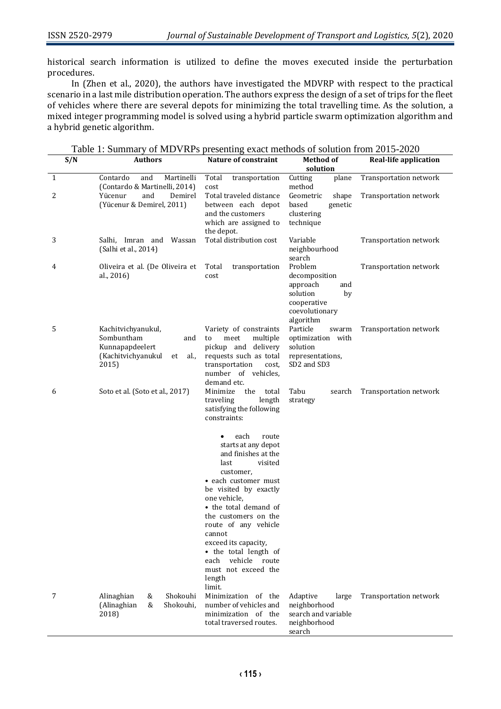historical search information is utilized to define the moves executed inside the perturbation procedures.

In (Zhen et al., 2020), the authors have investigated the MDVRP with respect to the practical scenario in a last mile distribution operation. The authors express the design of a set of trips for the fleet of vehicles where there are several depots for minimizing the total travelling time. As the solution, a mixed integer programming model is solved using a hybrid particle swarm optimization algorithm and a hybrid genetic algorithm.

|  |  | Table 1: Summary of MDVRPs presenting exact methods of solution from 2015-2020 |
|--|--|--------------------------------------------------------------------------------|
|  |  |                                                                                |

| S/N | <b>Authors</b>                                                                                          | <b>Nature of constraint</b>                                                                                                                                                                                                                                                                                                                                          | <b>Method of</b>                                                                                            | <b>Real-life application</b> |
|-----|---------------------------------------------------------------------------------------------------------|----------------------------------------------------------------------------------------------------------------------------------------------------------------------------------------------------------------------------------------------------------------------------------------------------------------------------------------------------------------------|-------------------------------------------------------------------------------------------------------------|------------------------------|
|     |                                                                                                         |                                                                                                                                                                                                                                                                                                                                                                      | solution                                                                                                    |                              |
| 1   | and<br>Contardo<br>Martinelli<br>(Contardo & Martinelli, 2014)                                          | Total<br>transportation<br>cost                                                                                                                                                                                                                                                                                                                                      | Cutting<br>plane<br>method                                                                                  | Transportation network       |
| 2   | Yücenur<br>and<br>Demirel<br>(Yücenur & Demirel, 2011)                                                  | Total traveled distance<br>between each depot<br>and the customers<br>which are assigned to                                                                                                                                                                                                                                                                          | Geometric<br>shape<br>based<br>genetic<br>clustering<br>technique                                           | Transportation network       |
| 3   | Salhi, Imran and Wassan<br>(Salhi et al., 2014)                                                         | the depot.<br>Total distribution cost                                                                                                                                                                                                                                                                                                                                | Variable<br>neighbourhood<br>search                                                                         | Transportation network       |
| 4   | Oliveira et al. (De Oliveira et<br>al., 2016)                                                           | Total<br>transportation<br>cost                                                                                                                                                                                                                                                                                                                                      | Problem<br>decomposition<br>approach<br>and<br>solution<br>by<br>cooperative<br>coevolutionary<br>algorithm | Transportation network       |
| 5   | Kachitvichyanukul,<br>Sombuntham<br>and<br>Kunnapapdeelert<br>(Kachitvichyanukul<br>al.,<br>et<br>2015) | Variety of constraints<br>meet<br>multiple<br>to<br>pickup and delivery<br>requests such as total<br>transportation<br>cost,<br>number of vehicles,<br>demand etc.                                                                                                                                                                                                   | Particle<br>swarm<br>optimization with<br>solution<br>representations,<br>SD2 and SD3                       | Transportation network       |
| 6   | Soto et al. (Soto et al., 2017)                                                                         | the<br>Minimize<br>total<br>length<br>traveling<br>satisfying the following<br>constraints:                                                                                                                                                                                                                                                                          | Tabu<br>search<br>strategy                                                                                  | Transportation network       |
|     |                                                                                                         | each<br>route<br>starts at any depot<br>and finishes at the<br>last<br>visited<br>customer,<br>• each customer must<br>be visited by exactly<br>one vehicle.<br>• the total demand of<br>the customers on the<br>route of any vehicle<br>cannot<br>exceed its capacity,<br>• the total length of<br>vehicle route<br>each<br>must not exceed the<br>length<br>limit. |                                                                                                             |                              |
| 7   | Shokouhi<br>Alinaghian<br>&<br>(Alinaghian<br>&<br>Shokouhi,<br>2018)                                   | Minimization of the<br>number of vehicles and<br>minimization of the<br>total traversed routes.                                                                                                                                                                                                                                                                      | Adaptive<br>large<br>neighborhood<br>search and variable<br>neighborhood<br>search                          | Transportation network       |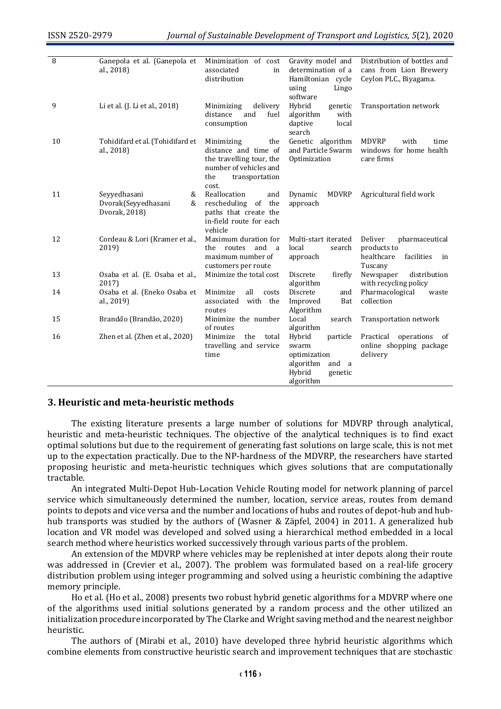| 8  | Ganepola et al. (Ganepola et<br>al., 2018)                     | Minimization of cost<br>associated<br>in<br>distribution                                                                          | Gravity model and<br>determination of a<br>Hamiltonian cycle<br>Lingo<br>using<br>software             | Distribution of bottles and<br>cans from Lion Brewery<br>Ceylon PLC., Biyagama.       |
|----|----------------------------------------------------------------|-----------------------------------------------------------------------------------------------------------------------------------|--------------------------------------------------------------------------------------------------------|---------------------------------------------------------------------------------------|
| 9  | Li et al. (J. Li et al., 2018)                                 | delivery<br>Minimizing<br>distance<br>and<br>fuel<br>consumption                                                                  | Hybrid<br>genetic<br>algorithm<br>with<br>daptive<br>local<br>search                                   | Transportation network                                                                |
| 10 | Tohidifard et al. (Tohidifard et<br>al., 2018)                 | Minimizing<br>the<br>distance and time of<br>the travelling tour, the<br>number of vehicles and<br>the<br>transportation<br>cost. | Genetic algorithm<br>and Particle Swarm<br>Optimization                                                | <b>MDVRP</b><br>with<br>time<br>windows for home health<br>care firms                 |
| 11 | Seyyedhasani<br>&<br>Dvorak(Seyyedhasani<br>&<br>Dvorak, 2018) | Reallocation<br>and<br>rescheduling of the<br>paths that create the<br>in-field route for each<br>vehicle                         | <b>MDVRP</b><br>Dynamic<br>approach                                                                    | Agricultural field work                                                               |
| 12 | Cordeau & Lori (Kramer et al.,<br>2019)                        | Maximum duration for<br>routes<br>and<br>the.<br>a<br>maximum number of<br>customers per route                                    | Multi-start iterated<br>local<br>search<br>approach                                                    | Deliver<br>pharmaceutical<br>products to<br>healthcare<br>facilities<br>in<br>Tuscany |
| 13 | Osaba et al. (E. Osaba et al.,<br>2017)                        | Minimize the total cost                                                                                                           | Discrete<br>firefly<br>algorithm                                                                       | Newspaper<br>distribution<br>with recycling policy                                    |
| 14 | Osaba et al. (Eneko Osaba et<br>al., 2019)                     | Minimize<br>all<br>costs<br>with the<br>associated<br>routes                                                                      | Discrete<br>and<br>Improved<br>Bat<br>Algorithm                                                        | Pharmacological<br>waste<br>collection                                                |
| 15 | Brandão (Brandão, 2020)                                        | Minimize the number<br>of routes                                                                                                  | Local<br>search<br>algorithm                                                                           | Transportation network                                                                |
| 16 | Zhen et al. (Zhen et al., 2020)                                | Minimize<br>the<br>total<br>travelling and service<br>time                                                                        | Hybrid<br>particle<br>swarm<br>optimization<br>algorithm<br>and<br>a<br>Hybrid<br>genetic<br>algorithm | Practical<br>operations<br>- of<br>online shopping package<br>delivery                |

#### **3. Heuristic and meta-heuristic methods**

The existing literature presents a large number of solutions for MDVRP through analytical, heuristic and meta-heuristic techniques. The objective of the analytical techniques is to find exact optimal solutions but due to the requirement of generating fast solutions on large scale, this is not met up to the expectation practically. Due to the NP-hardness of the MDVRP, the researchers have started proposing heuristic and meta-heuristic techniques which gives solutions that are computationally tractable.

An integrated Multi-Depot Hub-Location Vehicle Routing model for network planning of parcel service which simultaneously determined the number, location, service areas, routes from demand points to depots and vice versa and the number and locations of hubs and routes of depot-hub and hubhub transports was studied by the authors of (Wasner & Zäpfel, 2004) in 2011. A generalized hub location and VR model was developed and solved using a hierarchical method embedded in a local search method where heuristics worked successively through various parts of the problem.

An extension of the MDVRP where vehicles may be replenished at inter depots along their route was addressed in (Crevier et al., 2007). The problem was formulated based on a real-life grocery distribution problem using integer programming and solved using a heuristic combining the adaptive memory principle.

Ho et al. (Ho et al., 2008) presents two robust hybrid genetic algorithms for a MDVRP where one of the algorithms used initial solutions generated by a random process and the other utilized an initialization procedure incorporated by The Clarke and Wright saving method and the nearest neighbor heuristic.

The authors of (Mirabi et al., 2010) have developed three hybrid heuristic algorithms which combine elements from constructive heuristic search and improvement techniques that are stochastic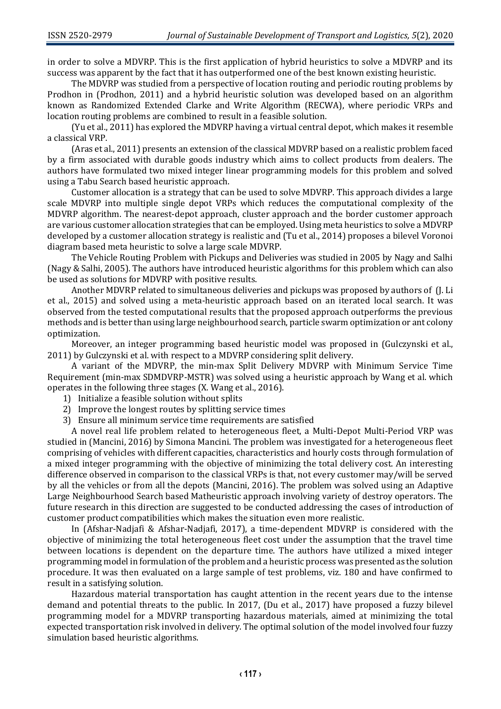in order to solve a MDVRP. This is the first application of hybrid heuristics to solve a MDVRP and its success was apparent by the fact that it has outperformed one of the best known existing heuristic.

The MDVRP was studied from a perspective of location routing and periodic routing problems by Prodhon in (Prodhon, 2011) and a hybrid heuristic solution was developed based on an algorithm known as Randomized Extended Clarke and Write Algorithm (RECWA), where periodic VRPs and location routing problems are combined to result in a feasible solution.

(Yu et al., 2011) has explored the MDVRP having a virtual central depot, which makes it resemble a classical VRP.

(Aras et al., 2011) presents an extension of the classical MDVRP based on a realistic problem faced by a firm associated with durable goods industry which aims to collect products from dealers. The authors have formulated two mixed integer linear programming models for this problem and solved using a Tabu Search based heuristic approach.

Customer allocation is a strategy that can be used to solve MDVRP. This approach divides a large scale MDVRP into multiple single depot VRPs which reduces the computational complexity of the MDVRP algorithm. The nearest-depot approach, cluster approach and the border customer approach are various customer allocation strategies that can be employed. Using meta heuristics to solve a MDVRP developed by a customer allocation strategy is realistic and (Tu et al., 2014) proposes a bilevel Voronoi diagram based meta heuristic to solve a large scale MDVRP.

The Vehicle Routing Problem with Pickups and Deliveries was studied in 2005 by Nagy and Salhi (Nagy & Salhi, 2005). The authors have introduced heuristic algorithms for this problem which can also be used as solutions for MDVRP with positive results.

Another MDVRP related to simultaneous deliveries and pickups was proposed by authors of (J. Li et al., 2015) and solved using a meta-heuristic approach based on an iterated local search. It was observed from the tested computational results that the proposed approach outperforms the previous methods and is better than using large neighbourhood search, particle swarm optimization or ant colony optimization.

Moreover, an integer programming based heuristic model was proposed in (Gulczynski et al., 2011) by Gulczynski et al. with respect to a MDVRP considering split delivery.

A variant of the MDVRP, the min-max Split Delivery MDVRP with Minimum Service Time Requirement (min-max SDMDVRP-MSTR) was solved using a heuristic approach by Wang et al. which operates in the following three stages (X. Wang et al., 2016).

- 1) Initialize a feasible solution without splits
- 2) Improve the longest routes by splitting service times
- 3) Ensure all minimum service time requirements are satisfied

A novel real life problem related to heterogeneous fleet, a Multi-Depot Multi-Period VRP was studied in (Mancini, 2016) by Simona Mancini. The problem was investigated for a heterogeneous fleet comprising of vehicles with different capacities, characteristics and hourly costs through formulation of a mixed integer programming with the objective of minimizing the total delivery cost. An interesting difference observed in comparison to the classical VRPs is that, not every customer may/will be served by all the vehicles or from all the depots (Mancini, 2016). The problem was solved using an Adaptive Large Neighbourhood Search based Matheuristic approach involving variety of destroy operators. The future research in this direction are suggested to be conducted addressing the cases of introduction of customer product compatibilities which makes the situation even more realistic.

In (Afshar-Nadjafi & Afshar-Nadjafi, 2017), a time-dependent MDVRP is considered with the objective of minimizing the total heterogeneous fleet cost under the assumption that the travel time between locations is dependent on the departure time. The authors have utilized a mixed integer programming model in formulation of the problem and a heuristic process was presented as the solution procedure. It was then evaluated on a large sample of test problems, viz. 180 and have confirmed to result in a satisfying solution.

Hazardous material transportation has caught attention in the recent years due to the intense demand and potential threats to the public. In 2017, (Du et al., 2017) have proposed a fuzzy bilevel programming model for a MDVRP transporting hazardous materials, aimed at minimizing the total expected transportation risk involved in delivery. The optimal solution of the model involved four fuzzy simulation based heuristic algorithms.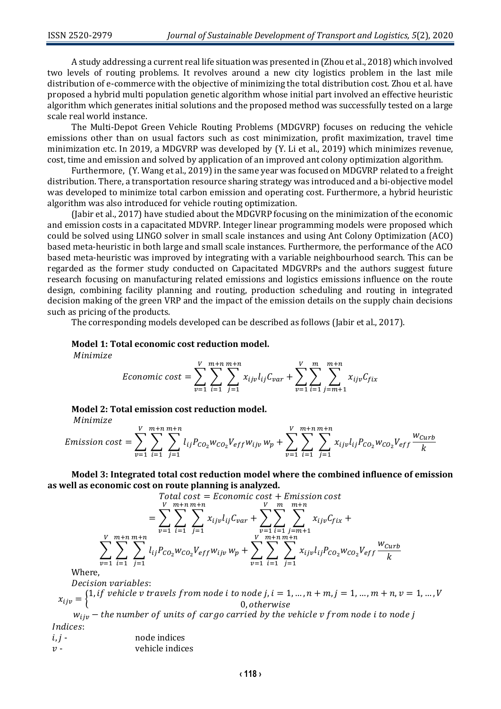A study addressing a current real life situation was presented in (Zhou et al., 2018) which involved two levels of routing problems. It revolves around a new city logistics problem in the last mile distribution of e-commerce with the objective of minimizing the total distribution cost. Zhou et al. have proposed a hybrid multi population genetic algorithm whose initial part involved an effective heuristic algorithm which generates initial solutions and the proposed method was successfully tested on a large scale real world instance.

The Multi-Depot Green Vehicle Routing Problems (MDGVRP) focuses on reducing the vehicle emissions other than on usual factors such as cost minimization, profit maximization, travel time minimization etc. In 2019, a MDGVRP was developed by (Y. Li et al., 2019) which minimizes revenue, cost, time and emission and solved by application of an improved ant colony optimization algorithm.

Furthermore, (Y. Wang et al., 2019) in the same year was focused on MDGVRP related to a freight distribution. There, a transportation resource sharing strategy was introduced and a bi-objective model was developed to minimize total carbon emission and operating cost. Furthermore, a hybrid heuristic algorithm was also introduced for vehicle routing optimization.

(Jabir et al., 2017) have studied about the MDGVRP focusing on the minimization of the economic and emission costs in a capacitated MDVRP. Integer linear programming models were proposed which could be solved using LINGO solver in small scale instances and using Ant Colony Optimization (ACO) based meta-heuristic in both large and small scale instances. Furthermore, the performance of the ACO based meta-heuristic was improved by integrating with a variable neighbourhood search. This can be regarded as the former study conducted on Capacitated MDGVRPs and the authors suggest future research focusing on manufacturing related emissions and logistics emissions influence on the route design, combining facility planning and routing, production scheduling and routing in integrated decision making of the green VRP and the impact of the emission details on the supply chain decisions such as pricing of the products.

The corresponding models developed can be described as follows (Jabir et al., 2017).

#### **Model 1: Total economic cost reduction model.**

Minimize

$$
Economic cost = \sum_{v=1}^{V} \sum_{i=1}^{m+n} \sum_{j=1}^{m+n} x_{ijv} l_{ij} C_{var} + \sum_{v=1}^{V} \sum_{i=1}^{m} \sum_{j=m+1}^{m+n} x_{ijv} C_{fix}
$$

#### **Model 2: Total emission cost reduction model.**

Minimize

*Emission cost* = 
$$
\sum_{\nu=1}^{V} \sum_{i=1}^{m+n} \sum_{j=1}^{m+n} l_{ij} P_{CO_2} w_{CO_2} V_{eff} w_{ij\nu} w_p + \sum_{\nu=1}^{V} \sum_{i=1}^{m+n} \sum_{j=1}^{m+n} x_{ij\nu} l_{ij} P_{CO_2} w_{CO_2} V_{eff} \frac{w_{Curb}}{k}
$$

**Model 3: Integrated total cost reduction model where the combined influence of emission as well as economic cost on route planning is analyzed.**

Total cost = Economic cost + Emission cost  
\n
$$
= \sum_{v=1}^{V} \sum_{i=1}^{m+n} \sum_{j=1}^{m+n} x_{ijv} l_{ij} C_{var} + \sum_{v=1}^{V} \sum_{i=1}^{m+n} \sum_{j=m+1}^{m+n} x_{ijv} C_{fix} + \sum_{v=1}^{V} \sum_{i=1}^{m+n} \sum_{j=1}^{m+n} \sum_{j=1}^{m+n} x_{ijv} l_{ij} P_{CO_2} W_{CO_2} V_{eff} \frac{W_{Curb}}{k}
$$

Where,

Decision variables:

 $x_{ijv} = \begin{cases} 1, if \text{ vehicle } v \text{ travels from node } i \text{ to node } j, i = 1, ..., n + m, j = 1, ..., m + n, v = 1, ..., V \end{cases}$  $0.$  otherwise

 $w_{ijp}$  – the number of units of cargo carried by the vehicle v from node i to node j Indices:

| $i, j -$ | node indices    |
|----------|-----------------|
| $12 -$   | vehicle indices |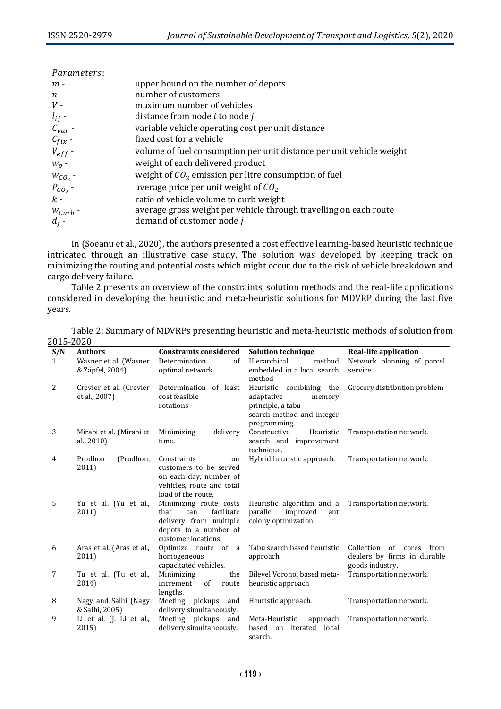| Parameters:  |                                                                      |
|--------------|----------------------------------------------------------------------|
| $m -$        | upper bound on the number of depots                                  |
| $n -$        | number of customers                                                  |
| $V -$        | maximum number of vehicles                                           |
| $l_{ij}$ -   | distance from node <i>i</i> to node <i>j</i>                         |
| $C_{var}$ -  | variable vehicle operating cost per unit distance                    |
| $C_{fix}$ -  | fixed cost for a vehicle                                             |
| $V_{eff}$ -  | volume of fuel consumption per unit distance per unit vehicle weight |
| $W_p$ -      | weight of each delivered product                                     |
| $W_{CO_2}$ - | weight of $CO2$ emission per litre consumption of fuel               |
| $P_{CO2}$ -  | average price per unit weight of $CO2$                               |
| $k -$        | ratio of vehicle volume to curb weight                               |
| $W_{Curb}$ - | average gross weight per vehicle through travelling on each route    |
| $d_i$ -      | demand of customer node j                                            |

In (Soeanu et al., 2020), the authors presented a cost effective learning-based heuristic technique intricated through an illustrative case study. The solution was developed by keeping track on minimizing the routing and potential costs which might occur due to the risk of vehicle breakdown and cargo delivery failure.

Table 2 presents an overview of the constraints, solution methods and the real-life applications considered in developing the heuristic and meta-heuristic solutions for MDVRP during the last five years.

Table 2: Summary of MDVRPs presenting heuristic and meta-heuristic methods of solution from 2015-2020

| $\frac{S/N}{1}$ | <b>Authors</b>                           | <b>Constraints considered</b>                                                                                                 | <b>Solution technique</b>                                                                                        | <b>Real-life application</b>                                                        |
|-----------------|------------------------------------------|-------------------------------------------------------------------------------------------------------------------------------|------------------------------------------------------------------------------------------------------------------|-------------------------------------------------------------------------------------|
|                 | Wasner et al. (Wasner<br>& Zäpfel, 2004) | Determination<br>of<br>optimal network                                                                                        | Hierarchical<br>method<br>embedded in a local search<br>method                                                   | Network planning of parcel<br>service                                               |
| 2               | Crevier et al. (Crevier<br>et al., 2007) | Determination of least<br>cost feasible<br>rotations                                                                          | Heuristic combining the<br>adaptative<br>memory<br>principle, a tabu<br>search method and integer<br>programming | Grocery distribution problem                                                        |
| 3               | Mirabi et al. (Mirabi et<br>al., 2010)   | Minimizing<br>delivery<br>time.                                                                                               | Constructive<br>Heuristic<br>search and improvement<br>technique.                                                | Transportation network.                                                             |
| 4               | (Prodhon,<br>Prodhon<br>2011)            | Constraints<br>on<br>customers to be served<br>on each day, number of<br>vehicles, route and total<br>load of the route.      | Hybrid heuristic approach.                                                                                       | Transportation network.                                                             |
| 5               | Yu et al. (Yu et al.,<br>2011)           | Minimizing route costs<br>facilitate<br>that<br>can<br>delivery from multiple<br>depots to a number of<br>customer locations. | Heuristic algorithm and a<br>parallel<br>improved<br>ant<br>colony optimization.                                 | Transportation network.                                                             |
| 6               | Aras et al. (Aras et al.,<br>2011)       | Optimize route of a<br>homogeneous<br>capacitated vehicles.                                                                   | Tabu search based heuristic<br>approach.                                                                         | Collection<br>of<br>from<br>cores<br>dealers by firms in durable<br>goods industry. |
| 7               | Tu et al. (Tu et al.,<br>2014)           | Minimizing<br>the<br>increment<br>$\alpha$ f<br>route<br>lengths.                                                             | Bilevel Voronoi based meta-<br>heuristic approach                                                                | Transportation network.                                                             |
| 8               | Nagy and Salhi (Nagy<br>& Salhi, 2005)   | Meeting pickups<br>and<br>delivery simultaneously.                                                                            | Heuristic approach.                                                                                              | Transportation network.                                                             |
| 9               | Li et al. (J. Li et al.,<br>2015)        | Meeting pickups<br>and<br>delivery simultaneously.                                                                            | Meta-Heuristic<br>approach<br>based on iterated local<br>search.                                                 | Transportation network.                                                             |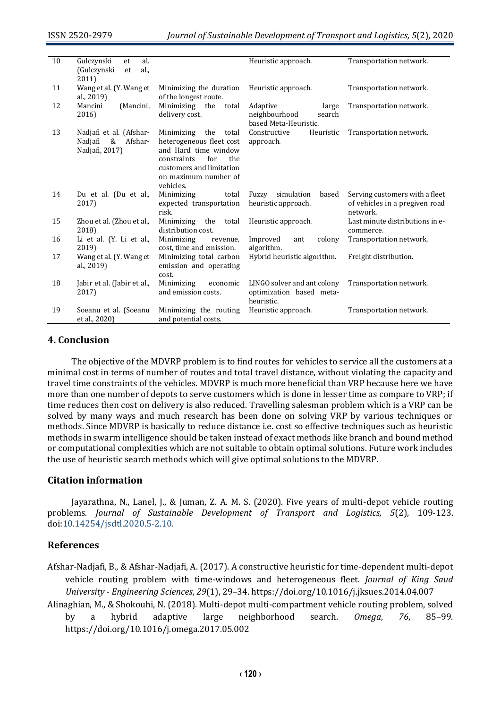| 10 | al.<br>Gulczynski<br>et<br>(Gulczynski<br>al.,<br>et<br>2011)        |                                                                                                                                                                           | Heuristic approach.                                                   | Transportation network.                                                      |
|----|----------------------------------------------------------------------|---------------------------------------------------------------------------------------------------------------------------------------------------------------------------|-----------------------------------------------------------------------|------------------------------------------------------------------------------|
| 11 | Wang et al. (Y. Wang et<br>al., 2019)                                | Minimizing the duration<br>of the longest route.                                                                                                                          | Heuristic approach.                                                   | Transportation network.                                                      |
| 12 | (Mancini,<br>Mancini<br>2016)                                        | Minimizing the<br>total<br>delivery cost.                                                                                                                                 | Adaptive<br>large<br>neighbourhood<br>search<br>based Meta-Heuristic. | Transportation network.                                                      |
| 13 | Nadjafi et al. (Afshar-<br>Nadjafi<br>Afshar-<br>&<br>Nadjafi, 2017) | Minimizing the<br>total<br>heterogeneous fleet cost<br>and Hard time window<br>for<br>the<br>constraints<br>customers and limitation<br>on maximum number of<br>vehicles. | Constructive<br>Heuristic<br>approach.                                | Transportation network.                                                      |
| 14 | Du et al. (Du et al.,<br>2017)                                       | Minimizing<br>total<br>expected transportation<br>risk.                                                                                                                   | simulation<br>based<br>Fuzzy<br>heuristic approach.                   | Serving customers with a fleet<br>of vehicles in a pregiven road<br>network. |
| 15 | Zhou et al. (Zhou et al.,<br>2018)                                   | Minimizing the<br>total<br>distribution cost.                                                                                                                             | Heuristic approach.                                                   | Last minute distributions in e-<br>commerce.                                 |
| 16 | Li et al. (Y. Li et al.,<br>2019)                                    | Minimizing<br>revenue,<br>cost, time and emission.                                                                                                                        | Improved<br>colony<br>ant<br>algorithm.                               | Transportation network.                                                      |
| 17 | Wang et al. (Y. Wang et<br>al., 2019)                                | Minimizing total carbon<br>emission and operating<br>cost.                                                                                                                | Hybrid heuristic algorithm.                                           | Freight distribution.                                                        |
| 18 | Jabir et al. (Jabir et al.,<br>2017)                                 | Minimizing<br>economic<br>and emission costs.                                                                                                                             | LINGO solver and ant colony<br>optimization based meta-<br>heuristic. | Transportation network.                                                      |
| 19 | Soeanu et al. (Soeanu<br>et al., 2020)                               | Minimizing the routing<br>and potential costs.                                                                                                                            | Heuristic approach.                                                   | Transportation network.                                                      |

### **4. Conclusion**

The objective of the MDVRP problem is to find routes for vehicles to service all the customers at a minimal cost in terms of number of routes and total travel distance, without violating the capacity and travel time constraints of the vehicles. MDVRP is much more beneficial than VRP because here we have more than one number of depots to serve customers which is done in lesser time as compare to VRP; if time reduces then cost on delivery is also reduced. Travelling salesman problem which is a VRP can be solved by many ways and much research has been done on solving VRP by various techniques or methods. Since MDVRP is basically to reduce distance i.e. cost so effective techniques such as heuristic methods in swarm intelligence should be taken instead of exact methods like branch and bound method or computational complexities which are not suitable to obtain optimal solutions. Future work includes the use of heuristic search methods which will give optimal solutions to the MDVRP.

## **Citation information**

Jayarathna, N., Lanel, J., & Juman, Z. A. M. S. (2020). Five years of multi-depot vehicle routing problems. *Journal of Sustainable Development of Transport and Logistics, 5*(2), 109-123. doi[:10.14254/jsdtl.2020.5-2.10.](https://doi.org/10.14254/jsdtl.2020.5-2.10)

## **References**

- Afshar-Nadjafi, B., & Afshar-Nadjafi, A. (2017). A constructive heuristic for time-dependent multi-depot vehicle routing problem with time-windows and heterogeneous fleet. *Journal of King Saud University - Engineering Sciences*, *29*(1), 29–34. https://doi.org/10.1016/j.jksues.2014.04.007
- Alinaghian, M., & Shokouhi, N. (2018). Multi-depot multi-compartment vehicle routing problem, solved by a hybrid adaptive large neighborhood search. *Omega*, *76*, 85–99. https://doi.org/10.1016/j.omega.2017.05.002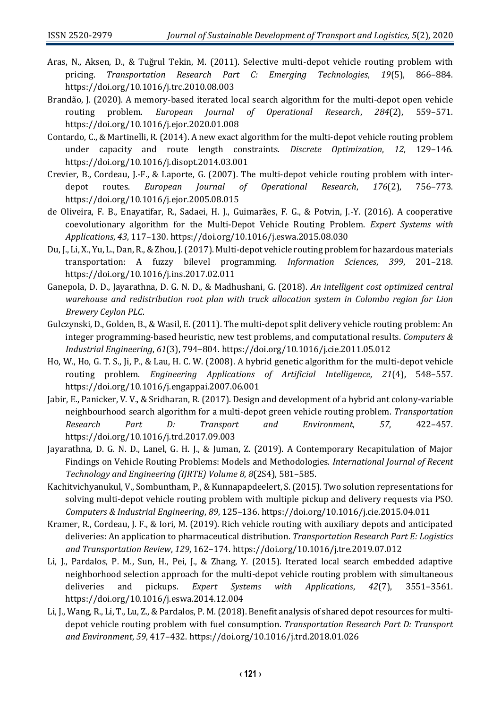- Aras, N., Aksen, D., & Tuğrul Tekin, M. (2011). Selective multi-depot vehicle routing problem with pricing. *Transportation Research Part C: Emerging Technologies*, *19*(5), 866–884. https://doi.org/10.1016/j.trc.2010.08.003
- Brandão, J. (2020). A memory-based iterated local search algorithm for the multi-depot open vehicle routing problem. *European Journal of Operational Research*, *284*(2), 559–571. https://doi.org/10.1016/j.ejor.2020.01.008
- Contardo, C., & Martinelli, R. (2014). A new exact algorithm for the multi-depot vehicle routing problem under capacity and route length constraints. *Discrete Optimization*, *12*, 129–146. https://doi.org/10.1016/j.disopt.2014.03.001
- Crevier, B., Cordeau, J.-F., & Laporte, G. (2007). The multi-depot vehicle routing problem with interdepot routes. *European Journal of Operational Research*, *176*(2), 756–773. https://doi.org/10.1016/j.ejor.2005.08.015
- de Oliveira, F. B., Enayatifar, R., Sadaei, H. J., Guimarães, F. G., & Potvin, J.-Y. (2016). A cooperative coevolutionary algorithm for the Multi-Depot Vehicle Routing Problem. *Expert Systems with Applications*, *43*, 117–130. https://doi.org/10.1016/j.eswa.2015.08.030
- Du, J., Li, X., Yu, L., Dan, R., & Zhou, J. (2017). Multi-depot vehicle routing problem for hazardous materials transportation: A fuzzy bilevel programming. *Information Sciences*, *399*, 201–218. https://doi.org/10.1016/j.ins.2017.02.011
- Ganepola, D. D., Jayarathna, D. G. N. D., & Madhushani, G. (2018). *An intelligent cost optimized central warehouse and redistribution root plan with truck allocation system in Colombo region for Lion Brewery Ceylon PLC*.
- Gulczynski, D., Golden, B., & Wasil, E. (2011). The multi-depot split delivery vehicle routing problem: An integer programming-based heuristic, new test problems, and computational results. *Computers & Industrial Engineering*, *61*(3), 794–804. https://doi.org/10.1016/j.cie.2011.05.012
- Ho, W., Ho, G. T. S., Ji, P., & Lau, H. C. W. (2008). A hybrid genetic algorithm for the multi-depot vehicle routing problem. *Engineering Applications of Artificial Intelligence*, *21*(4), 548–557. https://doi.org/10.1016/j.engappai.2007.06.001
- Jabir, E., Panicker, V. V., & Sridharan, R. (2017). Design and development of a hybrid ant colony-variable neighbourhood search algorithm for a multi-depot green vehicle routing problem. *Transportation Research Part D: Transport and Environment*, *57*, 422–457. https://doi.org/10.1016/j.trd.2017.09.003
- Jayarathna, D. G. N. D., Lanel, G. H. J., & Juman, Z. (2019). A Contemporary Recapitulation of Major Findings on Vehicle Routing Problems: Models and Methodologies. *International Journal of Recent Technology and Engineering (IJRTE) Volume 8*, *8*(2S4), 581–585.
- Kachitvichyanukul, V., Sombuntham, P., & Kunnapapdeelert, S. (2015). Two solution representations for solving multi-depot vehicle routing problem with multiple pickup and delivery requests via PSO. *Computers & Industrial Engineering*, *89*, 125–136. https://doi.org/10.1016/j.cie.2015.04.011
- Kramer, R., Cordeau, J. F., & Iori, M. (2019). Rich vehicle routing with auxiliary depots and anticipated deliveries: An application to pharmaceutical distribution. *Transportation Research Part E: Logistics and Transportation Review*, *129*, 162–174. https://doi.org/10.1016/j.tre.2019.07.012
- Li, J., Pardalos, P. M., Sun, H., Pei, J., & Zhang, Y. (2015). Iterated local search embedded adaptive neighborhood selection approach for the multi-depot vehicle routing problem with simultaneous deliveries and pickups. *Expert Systems with Applications*, *42*(7), 3551–3561. https://doi.org/10.1016/j.eswa.2014.12.004
- Li, J., Wang, R., Li, T., Lu, Z., & Pardalos, P. M. (2018). Benefit analysis of shared depot resources for multidepot vehicle routing problem with fuel consumption. *Transportation Research Part D: Transport and Environment*, *59*, 417–432. https://doi.org/10.1016/j.trd.2018.01.026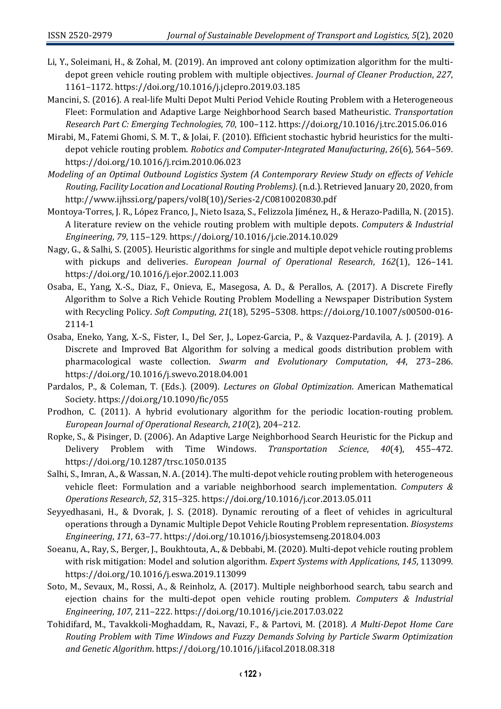- Li, Y., Soleimani, H., & Zohal, M. (2019). An improved ant colony optimization algorithm for the multidepot green vehicle routing problem with multiple objectives. *Journal of Cleaner Production*, *227*, 1161–1172. https://doi.org/10.1016/j.jclepro.2019.03.185
- Mancini, S. (2016). A real-life Multi Depot Multi Period Vehicle Routing Problem with a Heterogeneous Fleet: Formulation and Adaptive Large Neighborhood Search based Matheuristic. *Transportation Research Part C: Emerging Technologies*, *70*, 100–112. https://doi.org/10.1016/j.trc.2015.06.016
- Mirabi, M., Fatemi Ghomi, S. M. T., & Jolai, F. (2010). Efficient stochastic hybrid heuristics for the multidepot vehicle routing problem. *Robotics and Computer-Integrated Manufacturing*, *26*(6), 564–569. https://doi.org/10.1016/j.rcim.2010.06.023
- *Modeling of an Optimal Outbound Logistics System (A Contemporary Review Study on effects of Vehicle Routing, Facility Location and Locational Routing Problems)*. (n.d.). Retrieved January 20, 2020, from http://www.ijhssi.org/papers/vol8(10)/Series-2/C0810020830.pdf
- Montoya-Torres, J. R., López Franco, J., Nieto Isaza, S., Felizzola Jiménez, H., & Herazo-Padilla, N. (2015). A literature review on the vehicle routing problem with multiple depots. *Computers & Industrial Engineering*, *79*, 115–129. https://doi.org/10.1016/j.cie.2014.10.029
- Nagy, G., & Salhi, S. (2005). Heuristic algorithms for single and multiple depot vehicle routing problems with pickups and deliveries. *European Journal of Operational Research*, *162*(1), 126–141. https://doi.org/10.1016/j.ejor.2002.11.003
- Osaba, E., Yang, X.-S., Diaz, F., Onieva, E., Masegosa, A. D., & Perallos, A. (2017). A Discrete Firefly Algorithm to Solve a Rich Vehicle Routing Problem Modelling a Newspaper Distribution System with Recycling Policy. *Soft Computing*, *21*(18), 5295–5308. https://doi.org/10.1007/s00500-016- 2114-1
- Osaba, Eneko, Yang, X.-S., Fister, I., Del Ser, J., Lopez-Garcia, P., & Vazquez-Pardavila, A. J. (2019). A Discrete and Improved Bat Algorithm for solving a medical goods distribution problem with pharmacological waste collection. *Swarm and Evolutionary Computation*, *44*, 273–286. https://doi.org/10.1016/j.swevo.2018.04.001
- Pardalos, P., & Coleman, T. (Eds.). (2009). *Lectures on Global Optimization*. American Mathematical Society. https://doi.org/10.1090/fic/055
- Prodhon, C. (2011). A hybrid evolutionary algorithm for the periodic location-routing problem. *European Journal of Operational Research*, *210*(2), 204–212.
- Ropke, S., & Pisinger, D. (2006). An Adaptive Large Neighborhood Search Heuristic for the Pickup and Delivery Problem with Time Windows. *Transportation Science*, *40*(4), 455–472. https://doi.org/10.1287/trsc.1050.0135
- Salhi, S., Imran, A., & Wassan, N. A. (2014). The multi-depot vehicle routing problem with heterogeneous vehicle fleet: Formulation and a variable neighborhood search implementation. *Computers & Operations Research*, *52*, 315–325. https://doi.org/10.1016/j.cor.2013.05.011
- Seyyedhasani, H., & Dvorak, J. S. (2018). Dynamic rerouting of a fleet of vehicles in agricultural operations through a Dynamic Multiple Depot Vehicle Routing Problem representation. *Biosystems Engineering*, *171*, 63–77. https://doi.org/10.1016/j.biosystemseng.2018.04.003
- Soeanu, A., Ray, S., Berger, J., Boukhtouta, A., & Debbabi, M. (2020). Multi-depot vehicle routing problem with risk mitigation: Model and solution algorithm. *Expert Systems with Applications*, *145*, 113099. https://doi.org/10.1016/j.eswa.2019.113099
- Soto, M., Sevaux, M., Rossi, A., & Reinholz, A. (2017). Multiple neighborhood search, tabu search and ejection chains for the multi-depot open vehicle routing problem. *Computers & Industrial Engineering*, *107*, 211–222. https://doi.org/10.1016/j.cie.2017.03.022
- Tohidifard, M., Tavakkoli-Moghaddam, R., Navazi, F., & Partovi, M. (2018). *A Multi-Depot Home Care Routing Problem with Time Windows and Fuzzy Demands Solving by Particle Swarm Optimization and Genetic Algorithm*. https://doi.org/10.1016/j.ifacol.2018.08.318